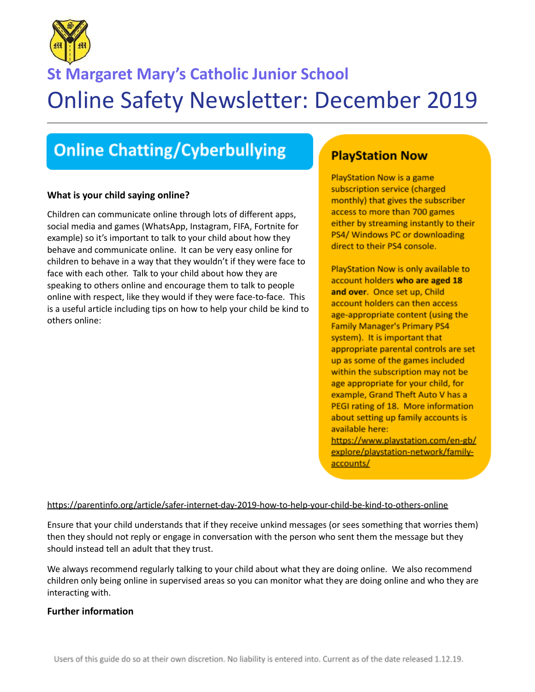

# **St Margaret Mary's Catholic Junior School** Online Safety Newsletter: December 2019

## **Online Chatting/Cyberbullying**

### **What is your child saying online?**

Children can communicate online through lots of different apps, social media and games (WhatsApp, Instagram, FIFA, Fortnite for example) so it's important to talk to your child about how they behave and communicate online. It can be very easy online for children to behave in a way that they wouldn't if they were face to face with each other. Talk to your child about how they are speaking to others online and encourage them to talk to people online with respect, like they would if they were face-to-face. This is a useful article including tips on how to help your child be kind to others online:

### **PlayStation Now**

**PlayStation Now is a game** subscription service (charged monthly) that gives the subscriber access to more than 700 games either by streaming instantly to their PS4/ Windows PC or downloading direct to their PS4 console.

PlayStation Now is only available to account holders who are aged 18 and over. Once set up, Child account holders can then access age-appropriate content (using the **Family Manager's Primary PS4** system). It is important that appropriate parental controls are set up as some of the games included within the subscription may not be age appropriate for your child, for example, Grand Theft Auto V has a PEGI rating of 18. More information about setting up family accounts is available here: https://www.playstation.com/en-gb/ explore/playstation-network/family-

accounts/

#### <https://parentinfo.org/article/safer-internet-day-2019-how-to-help-your-child-be-kind-to-others-online>

Ensure that your child understands that if they receive unkind messages (or sees something that worries them) then they should not reply or engage in conversation with the person who sent them the message but they should instead tell an adult that they trust.

We always recommend regularly talking to your child about what they are doing online. We also recommend children only being online in supervised areas so you can monitor what they are doing online and who they are interacting with.

#### **Further information**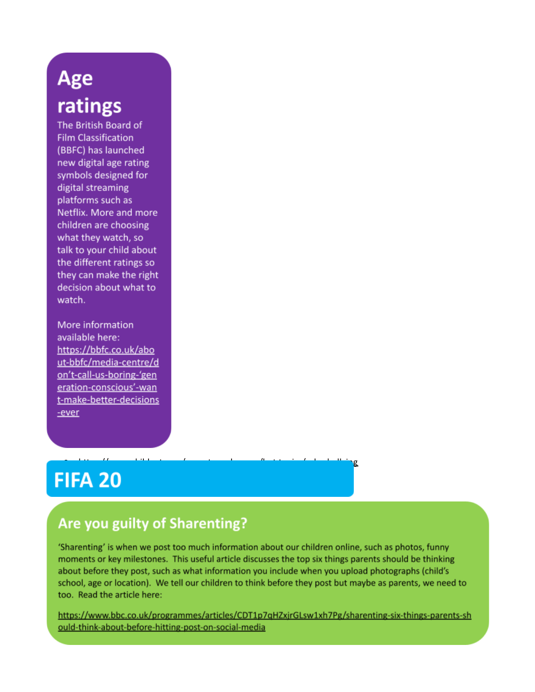# Age ratings

The British Board of **Film Classification** (BBFC) has launched new digital age rating symbols designed for digital streaming platforms such as Netflix. More and more children are choosing what they watch, so talk to your child about the different ratings so they can make the right decision about what to watch.

More information available here: https://bbfc.co.uk/abo ut-bbfc/media-centre/d on't-call-us-boring-'gen eration-conscious'-wan t-make-better-decisions  $-ever$ 

# **FIFA 20**

### Are you guilty of Sharenting?

'Sharenting' is when we post too much information about our children online, such as photos, funny moments or key milestones. This useful article discusses the top six things parents should be thinking about before they post, such as what information you include when you upload photographs (child's school, age or location). We tell our children to think before they post but maybe as parents, we need to too. Read the article here:

https://www.bbc.co.uk/programmes/articles/CDT1p7qHZxjrGLsw1xh7Pg/sharenting-six-things-parents-sh ould-think-about-before-hitting-post-on-social-media